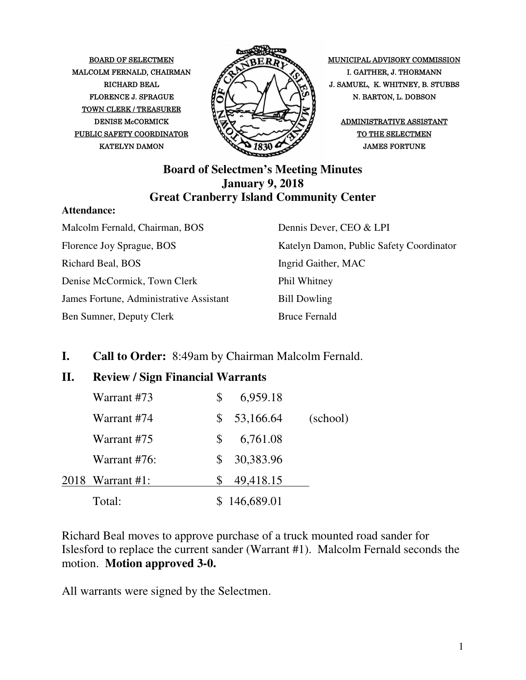MALCOLM FERNALD, CHAIRMAN  $\mathscr{P}\rightarrow\mathscr{P}$  I. GAITHER, J. THORMANN TOWN CLERK / TREASURER PUBLIC SAFETY COORDINATOR  $\bigvee\bigvee\bigvee\bigvee\bigwedge\bigwedge$ 



BOARD OF SELECTMEN MUNICIPAL ADVISORY COMMISSION RICHARD BEAL  $\mathbb{Z} \times \mathbb{Z}$   $\mathbb{Z} \times \mathbb{Z}$  J. SAMUEL, K. WHITNEY, B. STUBBS FLORENCE J. SPRAGUE  $\mathcal{H}(\mathcal{N})$   $\mathcal{N}$   $\mathcal{N}$  N. BARTON, L. DOBSON

#### **Board of Selectmen's Meeting Minutes January 9, 2018 Great Cranberry Island Community Center**

#### **Attendance:**

| Malcolm Fernald, Chairman, BOS          | Dennis Dever, CEO & LPI                  |
|-----------------------------------------|------------------------------------------|
| Florence Joy Sprague, BOS               | Katelyn Damon, Public Safety Coordinator |
| Richard Beal, BOS                       | Ingrid Gaither, MAC                      |
| Denise McCormick, Town Clerk            | Phil Whitney                             |
| James Fortune, Administrative Assistant | <b>Bill Dowling</b>                      |
| Ben Sumner, Deputy Clerk                | <b>Bruce Fernald</b>                     |

#### **I. Call to Order:** 8:49am by Chairman Malcolm Fernald.

#### **II. Review / Sign Financial Warrants**

|  | Total:           |    | 146,689.01 |          |
|--|------------------|----|------------|----------|
|  | 2018 Warrant #1: |    | 49,418.15  |          |
|  | Warrant #76:     | S. | 30,383.96  |          |
|  | Warrant #75      | S  | 6,761.08   |          |
|  | Warrant #74      | S  | 53,166.64  | (school) |
|  | Warrant #73      |    | 6,959.18   |          |

Richard Beal moves to approve purchase of a truck mounted road sander for Islesford to replace the current sander (Warrant #1). Malcolm Fernald seconds the motion. **Motion approved 3-0.**

All warrants were signed by the Selectmen.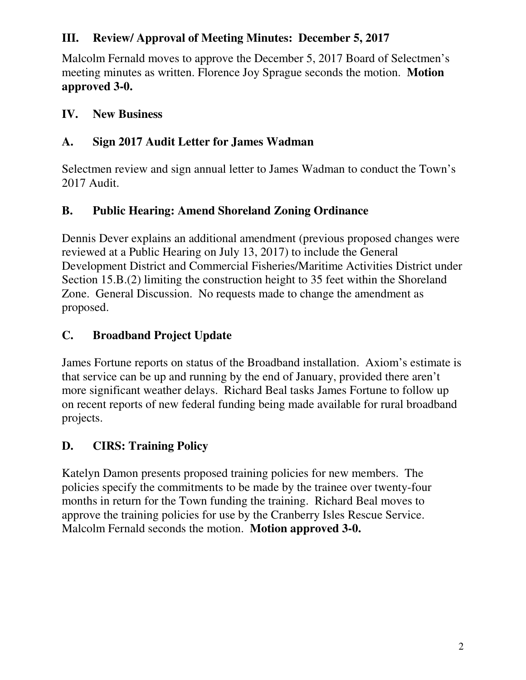## **III. Review/ Approval of Meeting Minutes: December 5, 2017**

Malcolm Fernald moves to approve the December 5, 2017 Board of Selectmen's meeting minutes as written. Florence Joy Sprague seconds the motion. **Motion approved 3-0.** 

#### **IV. New Business**

## **A. Sign 2017 Audit Letter for James Wadman**

Selectmen review and sign annual letter to James Wadman to conduct the Town's 2017 Audit.

## **B. Public Hearing: Amend Shoreland Zoning Ordinance**

Dennis Dever explains an additional amendment (previous proposed changes were reviewed at a Public Hearing on July 13, 2017) to include the General Development District and Commercial Fisheries/Maritime Activities District under Section 15.B.(2) limiting the construction height to 35 feet within the Shoreland Zone. General Discussion. No requests made to change the amendment as proposed.

## **C. Broadband Project Update**

James Fortune reports on status of the Broadband installation. Axiom's estimate is that service can be up and running by the end of January, provided there aren't more significant weather delays. Richard Beal tasks James Fortune to follow up on recent reports of new federal funding being made available for rural broadband projects.

## **D. CIRS: Training Policy**

Katelyn Damon presents proposed training policies for new members. The policies specify the commitments to be made by the trainee over twenty-four months in return for the Town funding the training. Richard Beal moves to approve the training policies for use by the Cranberry Isles Rescue Service. Malcolm Fernald seconds the motion. **Motion approved 3-0.**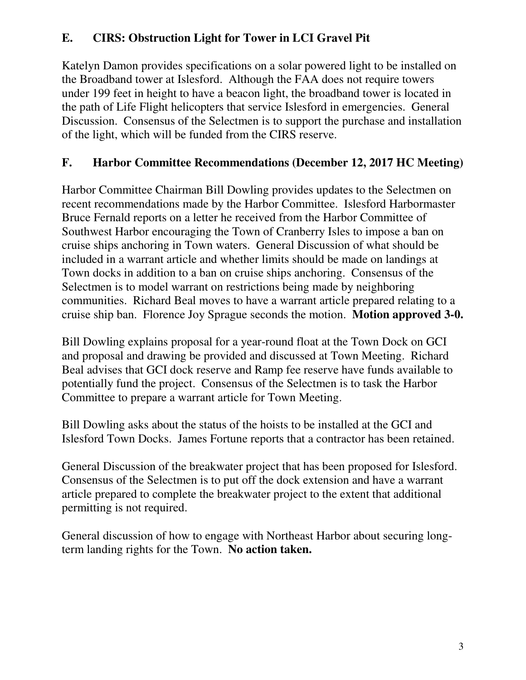## **E. CIRS: Obstruction Light for Tower in LCI Gravel Pit**

Katelyn Damon provides specifications on a solar powered light to be installed on the Broadband tower at Islesford. Although the FAA does not require towers under 199 feet in height to have a beacon light, the broadband tower is located in the path of Life Flight helicopters that service Islesford in emergencies. General Discussion. Consensus of the Selectmen is to support the purchase and installation of the light, which will be funded from the CIRS reserve.

## **F. Harbor Committee Recommendations (December 12, 2017 HC Meeting)**

Harbor Committee Chairman Bill Dowling provides updates to the Selectmen on recent recommendations made by the Harbor Committee. Islesford Harbormaster Bruce Fernald reports on a letter he received from the Harbor Committee of Southwest Harbor encouraging the Town of Cranberry Isles to impose a ban on cruise ships anchoring in Town waters. General Discussion of what should be included in a warrant article and whether limits should be made on landings at Town docks in addition to a ban on cruise ships anchoring. Consensus of the Selectmen is to model warrant on restrictions being made by neighboring communities. Richard Beal moves to have a warrant article prepared relating to a cruise ship ban. Florence Joy Sprague seconds the motion. **Motion approved 3-0.**

Bill Dowling explains proposal for a year-round float at the Town Dock on GCI and proposal and drawing be provided and discussed at Town Meeting. Richard Beal advises that GCI dock reserve and Ramp fee reserve have funds available to potentially fund the project. Consensus of the Selectmen is to task the Harbor Committee to prepare a warrant article for Town Meeting.

Bill Dowling asks about the status of the hoists to be installed at the GCI and Islesford Town Docks. James Fortune reports that a contractor has been retained.

General Discussion of the breakwater project that has been proposed for Islesford. Consensus of the Selectmen is to put off the dock extension and have a warrant article prepared to complete the breakwater project to the extent that additional permitting is not required.

General discussion of how to engage with Northeast Harbor about securing longterm landing rights for the Town. **No action taken.**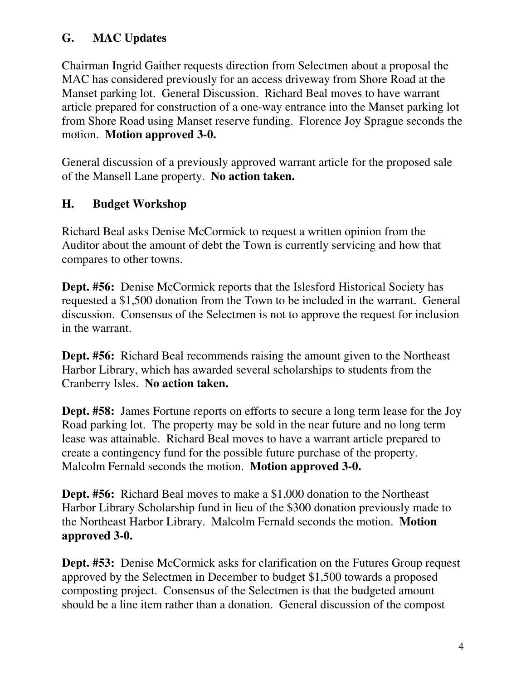#### **G. MAC Updates**

Chairman Ingrid Gaither requests direction from Selectmen about a proposal the MAC has considered previously for an access driveway from Shore Road at the Manset parking lot. General Discussion. Richard Beal moves to have warrant article prepared for construction of a one-way entrance into the Manset parking lot from Shore Road using Manset reserve funding. Florence Joy Sprague seconds the motion. **Motion approved 3-0.**

General discussion of a previously approved warrant article for the proposed sale of the Mansell Lane property. **No action taken.**

#### **H. Budget Workshop**

Richard Beal asks Denise McCormick to request a written opinion from the Auditor about the amount of debt the Town is currently servicing and how that compares to other towns.

**Dept. #56:** Denise McCormick reports that the Islesford Historical Society has requested a \$1,500 donation from the Town to be included in the warrant. General discussion. Consensus of the Selectmen is not to approve the request for inclusion in the warrant.

**Dept. #56:** Richard Beal recommends raising the amount given to the Northeast Harbor Library, which has awarded several scholarships to students from the Cranberry Isles. **No action taken.**

**Dept. #58:** James Fortune reports on efforts to secure a long term lease for the Joy Road parking lot. The property may be sold in the near future and no long term lease was attainable. Richard Beal moves to have a warrant article prepared to create a contingency fund for the possible future purchase of the property. Malcolm Fernald seconds the motion. **Motion approved 3-0.**

**Dept. #56:** Richard Beal moves to make a \$1,000 donation to the Northeast Harbor Library Scholarship fund in lieu of the \$300 donation previously made to the Northeast Harbor Library. Malcolm Fernald seconds the motion. **Motion approved 3-0.**

**Dept. #53:** Denise McCormick asks for clarification on the Futures Group request approved by the Selectmen in December to budget \$1,500 towards a proposed composting project. Consensus of the Selectmen is that the budgeted amount should be a line item rather than a donation. General discussion of the compost